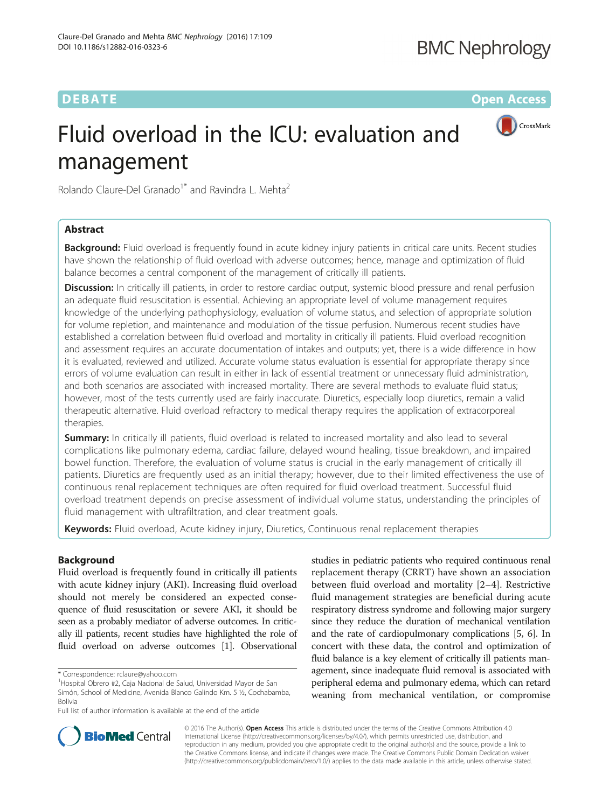# **BMC Nephrology**

**DEBATE CONSERVATION CONSERVATION** 



# Fluid overload in the ICU: evaluation and management

Rolando Claure-Del Granado<sup>1\*</sup> and Ravindra L. Mehta<sup>2</sup>

# Abstract

Background: Fluid overload is frequently found in acute kidney injury patients in critical care units. Recent studies have shown the relationship of fluid overload with adverse outcomes; hence, manage and optimization of fluid balance becomes a central component of the management of critically ill patients.

Discussion: In critically ill patients, in order to restore cardiac output, systemic blood pressure and renal perfusion an adequate fluid resuscitation is essential. Achieving an appropriate level of volume management requires knowledge of the underlying pathophysiology, evaluation of volume status, and selection of appropriate solution for volume repletion, and maintenance and modulation of the tissue perfusion. Numerous recent studies have established a correlation between fluid overload and mortality in critically ill patients. Fluid overload recognition and assessment requires an accurate documentation of intakes and outputs; yet, there is a wide difference in how it is evaluated, reviewed and utilized. Accurate volume status evaluation is essential for appropriate therapy since errors of volume evaluation can result in either in lack of essential treatment or unnecessary fluid administration, and both scenarios are associated with increased mortality. There are several methods to evaluate fluid status; however, most of the tests currently used are fairly inaccurate. Diuretics, especially loop diuretics, remain a valid therapeutic alternative. Fluid overload refractory to medical therapy requires the application of extracorporeal therapies.

**Summary:** In critically ill patients, fluid overload is related to increased mortality and also lead to several complications like pulmonary edema, cardiac failure, delayed wound healing, tissue breakdown, and impaired bowel function. Therefore, the evaluation of volume status is crucial in the early management of critically ill patients. Diuretics are frequently used as an initial therapy; however, due to their limited effectiveness the use of continuous renal replacement techniques are often required for fluid overload treatment. Successful fluid overload treatment depends on precise assessment of individual volume status, understanding the principles of fluid management with ultrafiltration, and clear treatment goals.

Keywords: Fluid overload, Acute kidney injury, Diuretics, Continuous renal replacement therapies

# Background

Fluid overload is frequently found in critically ill patients with acute kidney injury (AKI). Increasing fluid overload should not merely be considered an expected consequence of fluid resuscitation or severe AKI, it should be seen as a probably mediator of adverse outcomes. In critically ill patients, recent studies have highlighted the role of fluid overload on adverse outcomes [[1](#page-7-0)]. Observational

studies in pediatric patients who required continuous renal replacement therapy (CRRT) have shown an association between fluid overload and mortality [[2](#page-7-0)–[4\]](#page-7-0). Restrictive fluid management strategies are beneficial during acute respiratory distress syndrome and following major surgery since they reduce the duration of mechanical ventilation and the rate of cardiopulmonary complications [\[5](#page-7-0), [6](#page-7-0)]. In concert with these data, the control and optimization of fluid balance is a key element of critically ill patients management, since inadequate fluid removal is associated with peripheral edema and pulmonary edema, which can retard weaning from mechanical ventilation, or compromise



© 2016 The Author(s). Open Access This article is distributed under the terms of the Creative Commons Attribution 4.0 International License [\(http://creativecommons.org/licenses/by/4.0/](http://creativecommons.org/licenses/by/4.0/)), which permits unrestricted use, distribution, and reproduction in any medium, provided you give appropriate credit to the original author(s) and the source, provide a link to the Creative Commons license, and indicate if changes were made. The Creative Commons Public Domain Dedication waiver [\(http://creativecommons.org/publicdomain/zero/1.0/](http://creativecommons.org/publicdomain/zero/1.0/)) applies to the data made available in this article, unless otherwise stated.

<sup>\*</sup> Correspondence: [rclaure@yahoo.com](mailto:rclaure@yahoo.com) <sup>1</sup>

<sup>&</sup>lt;sup>1</sup> Hospital Obrero #2, Caja Nacional de Salud, Universidad Mayor de San Simón, School of Medicine, Avenida Blanco Galindo Km. 5 ½, Cochabamba, Bolivia

Full list of author information is available at the end of the article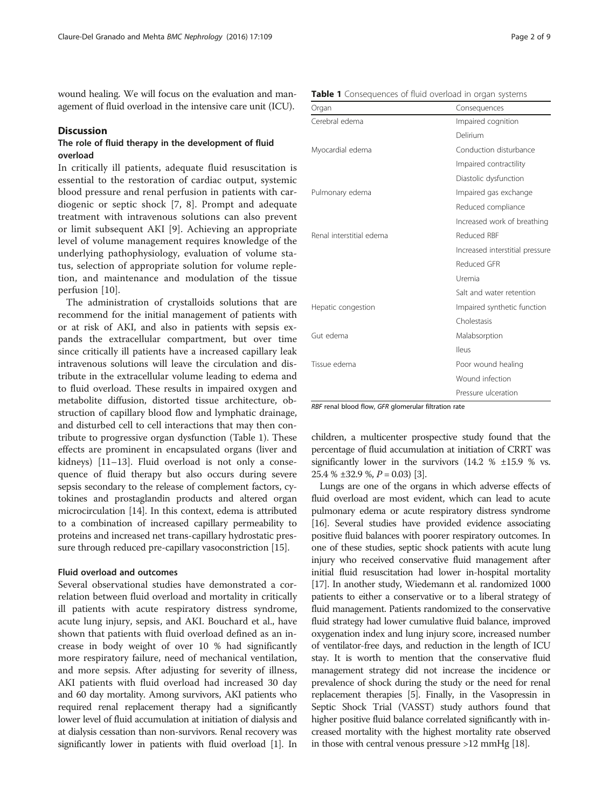wound healing. We will focus on the evaluation and management of fluid overload in the intensive care unit (ICU).

#### **Discussion**

# The role of fluid therapy in the development of fluid overload

In critically ill patients, adequate fluid resuscitation is essential to the restoration of cardiac output, systemic blood pressure and renal perfusion in patients with cardiogenic or septic shock [\[7, 8](#page-7-0)]. Prompt and adequate treatment with intravenous solutions can also prevent or limit subsequent AKI [\[9](#page-7-0)]. Achieving an appropriate level of volume management requires knowledge of the underlying pathophysiology, evaluation of volume status, selection of appropriate solution for volume repletion, and maintenance and modulation of the tissue perfusion [\[10](#page-7-0)].

The administration of crystalloids solutions that are recommend for the initial management of patients with or at risk of AKI, and also in patients with sepsis expands the extracellular compartment, but over time since critically ill patients have a increased capillary leak intravenous solutions will leave the circulation and distribute in the extracellular volume leading to edema and to fluid overload. These results in impaired oxygen and metabolite diffusion, distorted tissue architecture, obstruction of capillary blood flow and lymphatic drainage, and disturbed cell to cell interactions that may then contribute to progressive organ dysfunction (Table 1). These effects are prominent in encapsulated organs (liver and kidneys) [[11](#page-7-0)–[13](#page-7-0)]. Fluid overload is not only a consequence of fluid therapy but also occurs during severe sepsis secondary to the release of complement factors, cytokines and prostaglandin products and altered organ microcirculation [\[14\]](#page-7-0). In this context, edema is attributed to a combination of increased capillary permeability to proteins and increased net trans-capillary hydrostatic pressure through reduced pre-capillary vasoconstriction [\[15](#page-7-0)].

## Fluid overload and outcomes

Several observational studies have demonstrated a correlation between fluid overload and mortality in critically ill patients with acute respiratory distress syndrome, acute lung injury, sepsis, and AKI. Bouchard et al., have shown that patients with fluid overload defined as an increase in body weight of over 10 % had significantly more respiratory failure, need of mechanical ventilation, and more sepsis. After adjusting for severity of illness, AKI patients with fluid overload had increased 30 day and 60 day mortality. Among survivors, AKI patients who required renal replacement therapy had a significantly lower level of fluid accumulation at initiation of dialysis and at dialysis cessation than non-survivors. Renal recovery was significantly lower in patients with fluid overload [[1](#page-7-0)]. In

|  | Table 1 Consequences of fluid overload in organ systems |  |  |  |  |
|--|---------------------------------------------------------|--|--|--|--|
|--|---------------------------------------------------------|--|--|--|--|

| Organ                    | Consequences                    |  |
|--------------------------|---------------------------------|--|
| Cerebral edema           | Impaired cognition              |  |
|                          | Delirium                        |  |
| Myocardial edema         | Conduction disturbance          |  |
|                          | Impaired contractility          |  |
|                          | Diastolic dysfunction           |  |
| Pulmonary edema          | Impaired gas exchange           |  |
|                          | Reduced compliance              |  |
|                          | Increased work of breathing     |  |
| Renal interstitial edema | Reduced RBF                     |  |
|                          | Increased interstitial pressure |  |
|                          | Reduced GFR                     |  |
|                          | Uremia                          |  |
|                          | Salt and water retention        |  |
| Hepatic congestion       | Impaired synthetic function     |  |
|                          | Cholestasis                     |  |
| Gut edema                | Malabsorption                   |  |
|                          | lleus                           |  |
| Tissue edema             | Poor wound healing              |  |
|                          | Wound infection                 |  |
|                          | Pressure ulceration             |  |

RBF renal blood flow, GFR glomerular filtration rate

children, a multicenter prospective study found that the percentage of fluid accumulation at initiation of CRRT was significantly lower in the survivors  $(14.2 % ±15.9 % ×15.2)$ 25.4 %  $\pm$ 32.9 %,  $P = 0.03$  [[3\]](#page-7-0).

Lungs are one of the organs in which adverse effects of fluid overload are most evident, which can lead to acute pulmonary edema or acute respiratory distress syndrome [[16](#page-7-0)]. Several studies have provided evidence associating positive fluid balances with poorer respiratory outcomes. In one of these studies, septic shock patients with acute lung injury who received conservative fluid management after initial fluid resuscitation had lower in-hospital mortality [[17](#page-7-0)]. In another study, Wiedemann et al. randomized 1000 patients to either a conservative or to a liberal strategy of fluid management. Patients randomized to the conservative fluid strategy had lower cumulative fluid balance, improved oxygenation index and lung injury score, increased number of ventilator-free days, and reduction in the length of ICU stay. It is worth to mention that the conservative fluid management strategy did not increase the incidence or prevalence of shock during the study or the need for renal replacement therapies [[5](#page-7-0)]. Finally, in the Vasopressin in Septic Shock Trial (VASST) study authors found that higher positive fluid balance correlated significantly with increased mortality with the highest mortality rate observed in those with central venous pressure >12 mmHg [[18](#page-7-0)].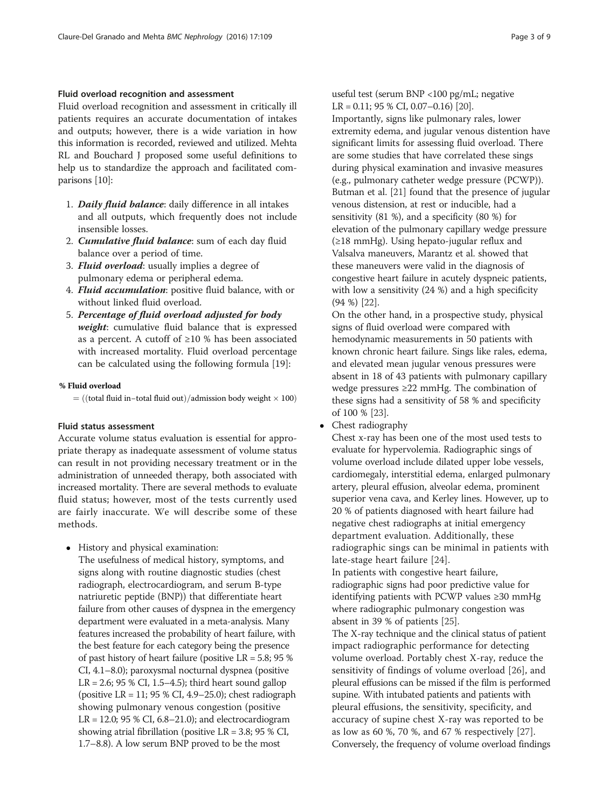# Fluid overload recognition and assessment

Fluid overload recognition and assessment in critically ill patients requires an accurate documentation of intakes and outputs; however, there is a wide variation in how this information is recorded, reviewed and utilized. Mehta RL and Bouchard J proposed some useful definitions to help us to standardize the approach and facilitated comparisons [[10](#page-7-0)]:

- 1. Daily fluid balance: daily difference in all intakes and all outputs, which frequently does not include insensible losses.
- 2. Cumulative fluid balance: sum of each day fluid balance over a period of time.
- 3. Fluid overload: usually implies a degree of pulmonary edema or peripheral edema.
- 4. Fluid accumulation: positive fluid balance, with or without linked fluid overload.
- 5. Percentage of fluid overload adjusted for body weight: cumulative fluid balance that is expressed as a percent. A cutoff of ≥10 % has been associated with increased mortality. Fluid overload percentage can be calculated using the following formula [\[19](#page-7-0)]:

## % Fluid overload

 $=$  ((total fluid in–total fluid out)/admission body weight  $\times$  100)

#### Fluid status assessment

Accurate volume status evaluation is essential for appropriate therapy as inadequate assessment of volume status can result in not providing necessary treatment or in the administration of unneeded therapy, both associated with increased mortality. There are several methods to evaluate fluid status; however, most of the tests currently used are fairly inaccurate. We will describe some of these methods.

History and physical examination:

The usefulness of medical history, symptoms, and signs along with routine diagnostic studies (chest radiograph, electrocardiogram, and serum B-type natriuretic peptide (BNP)) that differentiate heart failure from other causes of dyspnea in the emergency department were evaluated in a meta-analysis. Many features increased the probability of heart failure, with the best feature for each category being the presence of past history of heart failure (positive LR = 5.8; 95 % CI, 4.1–8.0); paroxysmal nocturnal dyspnea (positive  $LR = 2.6$ ; 95 % CI, 1.5–4.5); third heart sound gallop (positive LR = 11; 95 % CI, 4.9–25.0); chest radiograph showing pulmonary venous congestion (positive  $LR = 12.0; 95 % CI, 6.8–21.0);$  and electrocardiogram showing atrial fibrillation (positive  $LR = 3.8$ ; 95 % CI, 1.7–8.8). A low serum BNP proved to be the most

useful test (serum BNP <100 pg/mL; negative LR = 0.11; 95 % CI, 0.07–0.16) [[20](#page-7-0)].

Importantly, signs like pulmonary rales, lower extremity edema, and jugular venous distention have significant limits for assessing fluid overload. There are some studies that have correlated these sings during physical examination and invasive measures (e.g., pulmonary catheter wedge pressure (PCWP)). Butman et al. [[21](#page-7-0)] found that the presence of jugular venous distension, at rest or inducible, had a sensitivity (81 %), and a specificity (80 %) for elevation of the pulmonary capillary wedge pressure (≥18 mmHg). Using hepato-jugular reflux and Valsalva maneuvers, Marantz et al. showed that these maneuvers were valid in the diagnosis of congestive heart failure in acutely dyspneic patients, with low a sensitivity (24 %) and a high specificity (94 %) [\[22\]](#page-7-0).

On the other hand, in a prospective study, physical signs of fluid overload were compared with hemodynamic measurements in 50 patients with known chronic heart failure. Sings like rales, edema, and elevated mean jugular venous pressures were absent in 18 of 43 patients with pulmonary capillary wedge pressures ≥22 mmHg. The combination of these signs had a sensitivity of 58 % and specificity of 100 % [[23](#page-7-0)].

Chest radiography

Chest x-ray has been one of the most used tests to evaluate for hypervolemia. Radiographic sings of volume overload include dilated upper lobe vessels, cardiomegaly, interstitial edema, enlarged pulmonary artery, pleural effusion, alveolar edema, prominent superior vena cava, and Kerley lines. However, up to 20 % of patients diagnosed with heart failure had negative chest radiographs at initial emergency department evaluation. Additionally, these radiographic sings can be minimal in patients with late-stage heart failure [[24\]](#page-7-0).

In patients with congestive heart failure, radiographic signs had poor predictive value for identifying patients with PCWP values ≥30 mmHg where radiographic pulmonary congestion was absent in 39 % of patients [[25](#page-7-0)].

The X-ray technique and the clinical status of patient impact radiographic performance for detecting volume overload. Portably chest X-ray, reduce the sensitivity of findings of volume overload [\[26](#page-7-0)], and pleural effusions can be missed if the film is performed supine. With intubated patients and patients with pleural effusions, the sensitivity, specificity, and accuracy of supine chest X-ray was reported to be as low as 60 %, 70 %, and 67 % respectively [[27\]](#page-7-0). Conversely, the frequency of volume overload findings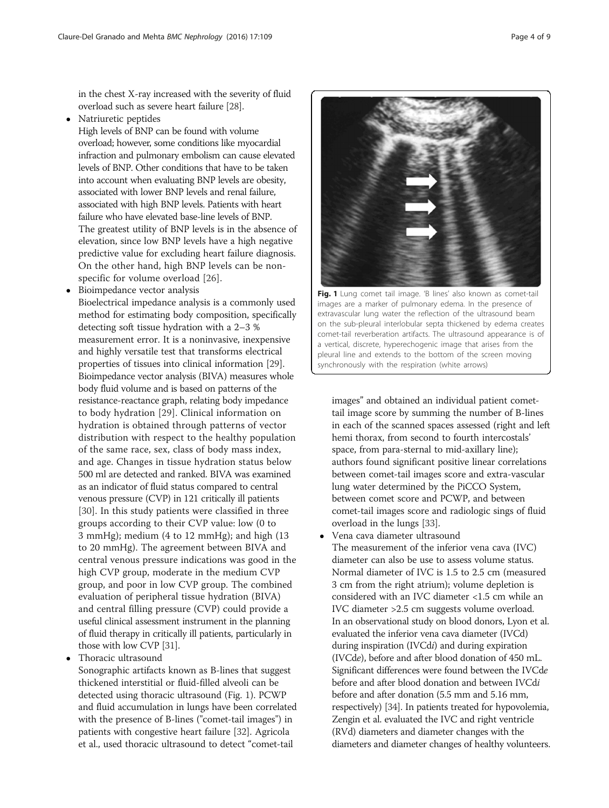in the chest X-ray increased with the severity of fluid overload such as severe heart failure [\[28\]](#page-7-0).

Natriuretic peptides

High levels of BNP can be found with volume overload; however, some conditions like myocardial infraction and pulmonary embolism can cause elevated levels of BNP. Other conditions that have to be taken into account when evaluating BNP levels are obesity, associated with lower BNP levels and renal failure, associated with high BNP levels. Patients with heart failure who have elevated base-line levels of BNP. The greatest utility of BNP levels is in the absence of elevation, since low BNP levels have a high negative predictive value for excluding heart failure diagnosis. On the other hand, high BNP levels can be nonspecific for volume overload [[26\]](#page-7-0).

- Bioimpedance vector analysis Bioelectrical impedance analysis is a commonly used method for estimating body composition, specifically detecting soft tissue hydration with a 2–3 % measurement error. It is a noninvasive, inexpensive and highly versatile test that transforms electrical properties of tissues into clinical information [[29](#page-7-0)]. Bioimpedance vector analysis (BIVA) measures whole body fluid volume and is based on patterns of the resistance-reactance graph, relating body impedance to body hydration [[29](#page-7-0)]. Clinical information on hydration is obtained through patterns of vector distribution with respect to the healthy population of the same race, sex, class of body mass index, and age. Changes in tissue hydration status below 500 ml are detected and ranked. BIVA was examined as an indicator of fluid status compared to central venous pressure (CVP) in 121 critically ill patients [[30\]](#page-7-0). In this study patients were classified in three groups according to their CVP value: low (0 to 3 mmHg); medium (4 to 12 mmHg); and high (13 to 20 mmHg). The agreement between BIVA and central venous pressure indications was good in the high CVP group, moderate in the medium CVP group, and poor in low CVP group. The combined evaluation of peripheral tissue hydration (BIVA) and central filling pressure (CVP) could provide a useful clinical assessment instrument in the planning of fluid therapy in critically ill patients, particularly in those with low CVP [\[31\]](#page-7-0).
- Thoracic ultrasound

Sonographic artifacts known as B-lines that suggest thickened interstitial or fluid-filled alveoli can be detected using thoracic ultrasound (Fig. 1). PCWP and fluid accumulation in lungs have been correlated with the presence of B-lines ("comet-tail images") in patients with congestive heart failure [[32](#page-7-0)]. Agricola et al., used thoracic ultrasound to detect "comet-tail

Fig. 1 Lung comet tail image. 'B lines' also known as comet-tail images are a marker of pulmonary edema. In the presence of extravascular lung water the reflection of the ultrasound beam on the sub-pleural interlobular septa thickened by edema creates comet-tail reverberation artifacts. The ultrasound appearance is of a vertical, discrete, hyperechogenic image that arises from the

pleural line and extends to the bottom of the screen moving

synchronously with the respiration (white arrows)

images" and obtained an individual patient comettail image score by summing the number of B-lines in each of the scanned spaces assessed (right and left hemi thorax, from second to fourth intercostals' space, from para-sternal to mid-axillary line); authors found significant positive linear correlations between comet-tail images score and extra-vascular lung water determined by the PiCCO System, between comet score and PCWP, and between comet-tail images score and radiologic sings of fluid overload in the lungs [[33](#page-7-0)].

Vena cava diameter ultrasound

The measurement of the inferior vena cava (IVC) diameter can also be use to assess volume status. Normal diameter of IVC is 1.5 to 2.5 cm (measured 3 cm from the right atrium); volume depletion is considered with an IVC diameter <1.5 cm while an IVC diameter >2.5 cm suggests volume overload. In an observational study on blood donors, Lyon et al. evaluated the inferior vena cava diameter (IVCd) during inspiration (IVCdi) and during expiration (IVCde), before and after blood donation of 450 mL. Significant differences were found between the IVCde before and after blood donation and between IVCdi before and after donation (5.5 mm and 5.16 mm, respectively) [\[34\]](#page-7-0). In patients treated for hypovolemia, Zengin et al. evaluated the IVC and right ventricle (RVd) diameters and diameter changes with the diameters and diameter changes of healthy volunteers.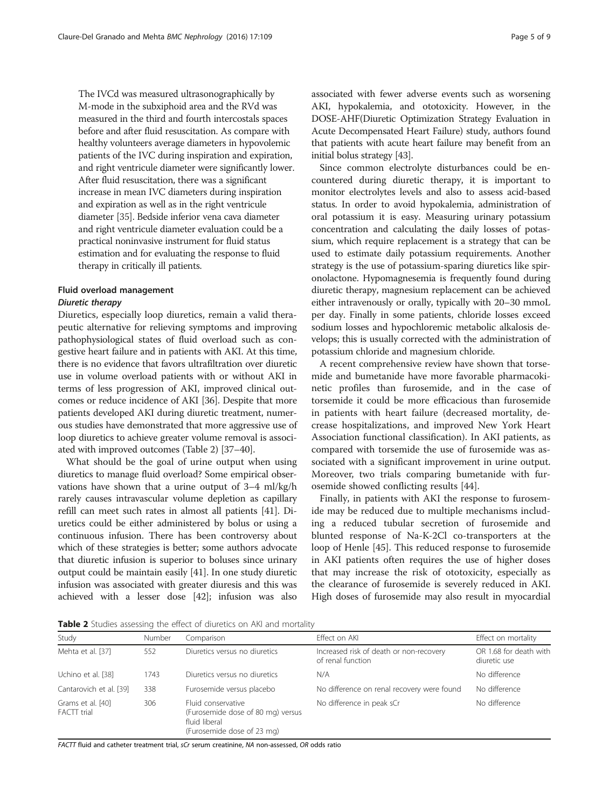The IVCd was measured ultrasonographically by M-mode in the subxiphoid area and the RVd was measured in the third and fourth intercostals spaces before and after fluid resuscitation. As compare with healthy volunteers average diameters in hypovolemic patients of the IVC during inspiration and expiration, and right ventricule diameter were significantly lower. After fluid resuscitation, there was a significant increase in mean IVC diameters during inspiration and expiration as well as in the right ventricule diameter [\[35](#page-7-0)]. Bedside inferior vena cava diameter and right ventricule diameter evaluation could be a practical noninvasive instrument for fluid status estimation and for evaluating the response to fluid therapy in critically ill patients.

# Fluid overload management Diuretic therapy

Diuretics, especially loop diuretics, remain a valid therapeutic alternative for relieving symptoms and improving pathophysiological states of fluid overload such as congestive heart failure and in patients with AKI. At this time, there is no evidence that favors ultrafiltration over diuretic use in volume overload patients with or without AKI in terms of less progression of AKI, improved clinical outcomes or reduce incidence of AKI [\[36\]](#page-7-0). Despite that more patients developed AKI during diuretic treatment, numerous studies have demonstrated that more aggressive use of loop diuretics to achieve greater volume removal is associated with improved outcomes (Table 2) [\[37](#page-7-0)–[40](#page-7-0)].

What should be the goal of urine output when using diuretics to manage fluid overload? Some empirical observations have shown that a urine output of 3–4 ml/kg/h rarely causes intravascular volume depletion as capillary refill can meet such rates in almost all patients [[41](#page-7-0)]. Diuretics could be either administered by bolus or using a continuous infusion. There has been controversy about which of these strategies is better; some authors advocate that diuretic infusion is superior to boluses since urinary output could be maintain easily [\[41\]](#page-7-0). In one study diuretic infusion was associated with greater diuresis and this was achieved with a lesser dose [[42](#page-8-0)]; infusion was also

Since common electrolyte disturbances could be encountered during diuretic therapy, it is important to monitor electrolytes levels and also to assess acid-based status. In order to avoid hypokalemia, administration of oral potassium it is easy. Measuring urinary potassium concentration and calculating the daily losses of potassium, which require replacement is a strategy that can be used to estimate daily potassium requirements. Another strategy is the use of potassium-sparing diuretics like spironolactone. Hypomagnesemia is frequently found during diuretic therapy, magnesium replacement can be achieved either intravenously or orally, typically with 20–30 mmoL per day. Finally in some patients, chloride losses exceed sodium losses and hypochloremic metabolic alkalosis develops; this is usually corrected with the administration of potassium chloride and magnesium chloride.

A recent comprehensive review have shown that torsemide and bumetanide have more favorable pharmacokinetic profiles than furosemide, and in the case of torsemide it could be more efficacious than furosemide in patients with heart failure (decreased mortality, decrease hospitalizations, and improved New York Heart Association functional classification). In AKI patients, as compared with torsemide the use of furosemide was associated with a significant improvement in urine output. Moreover, two trials comparing bumetanide with furosemide showed conflicting results [[44\]](#page-8-0).

Finally, in patients with AKI the response to furosemide may be reduced due to multiple mechanisms including a reduced tubular secretion of furosemide and blunted response of Na-K-2Cl co-transporters at the loop of Henle [[45](#page-8-0)]. This reduced response to furosemide in AKI patients often requires the use of higher doses that may increase the risk of ototoxicity, especially as the clearance of furosemide is severely reduced in AKI. High doses of furosemide may also result in myocardial

Table 2 Studies assessing the effect of diuretics on AKI and mortality

| Study                            | Number | Comparison                                                                                             | Effect on AKI                                                | Effect on mortality                    |
|----------------------------------|--------|--------------------------------------------------------------------------------------------------------|--------------------------------------------------------------|----------------------------------------|
| Mehta et al. [37]                | 552    | Diuretics versus no diuretics                                                                          | Increased risk of death or non-recovery<br>of renal function | OR 1.68 for death with<br>diuretic use |
| Uchino et al. [38]               | 1743   | Diuretics versus no diuretics                                                                          | N/A                                                          | No difference                          |
| Cantarovich et al. [39]          | 338    | Furosemide versus placebo                                                                              | No difference on renal recovery were found                   | No difference                          |
| Grams et al. [40]<br>FACTT trial | 306    | Fluid conservative<br>(Furosemide dose of 80 mg) versus<br>fluid liberal<br>(Furosemide dose of 23 mg) | No difference in peak sCr                                    |                                        |

FACTT fluid and catheter treatment trial, sCr serum creatinine, NA non-assessed, OR odds ratio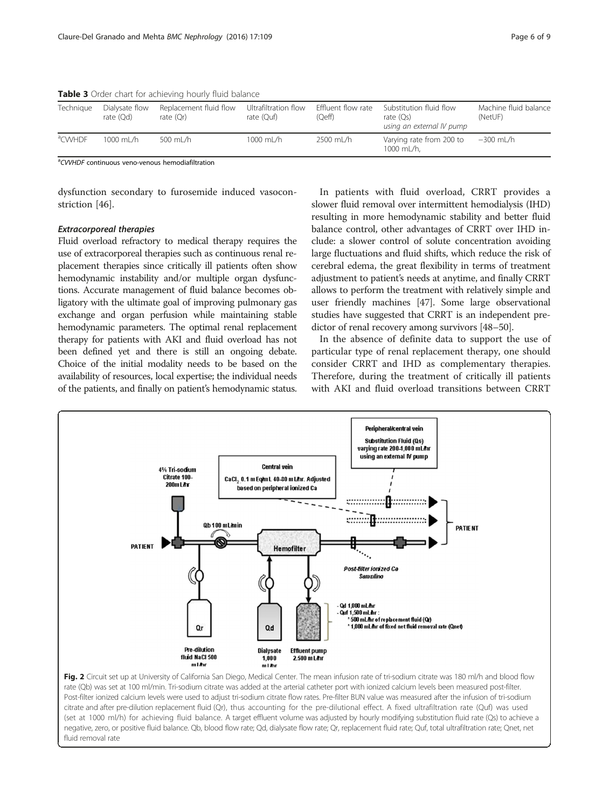| <b>TODIC 3</b> OTECT CHARL TOP ACHIEVING HOURS HOLD DATA REC |                             |                                     |                                    |                              |                                                                     |                                  |
|--------------------------------------------------------------|-----------------------------|-------------------------------------|------------------------------------|------------------------------|---------------------------------------------------------------------|----------------------------------|
| Technique                                                    | Dialysate flow<br>rate (Od) | Replacement fluid flow<br>rate (Or) | Ultrafiltration flow<br>rate (Ouf) | Effluent flow rate<br>(Oeff) | Substitution fluid flow<br>rate $(Os)$<br>using an external IV pump | Machine fluid balance<br>(NetUF) |
| <sup>a</sup> CWHDF                                           | $1000$ ml/h                 | $500$ ml /h                         | $1000$ ml /h                       | 2500 mL/h                    | Varying rate from 200 to<br>1000 mL/h.                              | $-300$ mL/h                      |

<span id="page-5-0"></span>Table 3 Order chart for achieving hourly fluid balance

<sup>a</sup>CVVHDF continuous veno-venous hemodiafiltration

dysfunction secondary to furosemide induced vasoconstriction [[46](#page-8-0)].

# Extracorporeal therapies

Fluid overload refractory to medical therapy requires the use of extracorporeal therapies such as continuous renal replacement therapies since critically ill patients often show hemodynamic instability and/or multiple organ dysfunctions. Accurate management of fluid balance becomes obligatory with the ultimate goal of improving pulmonary gas exchange and organ perfusion while maintaining stable hemodynamic parameters. The optimal renal replacement therapy for patients with AKI and fluid overload has not been defined yet and there is still an ongoing debate. Choice of the initial modality needs to be based on the availability of resources, local expertise; the individual needs of the patients, and finally on patient's hemodynamic status.

In patients with fluid overload, CRRT provides a slower fluid removal over intermittent hemodialysis (IHD) resulting in more hemodynamic stability and better fluid balance control, other advantages of CRRT over IHD include: a slower control of solute concentration avoiding large fluctuations and fluid shifts, which reduce the risk of cerebral edema, the great flexibility in terms of treatment adjustment to patient's needs at anytime, and finally CRRT allows to perform the treatment with relatively simple and user friendly machines [[47](#page-8-0)]. Some large observational studies have suggested that CRRT is an independent predictor of renal recovery among survivors [\[48](#page-8-0)–[50](#page-8-0)].

In the absence of definite data to support the use of particular type of renal replacement therapy, one should consider CRRT and IHD as complementary therapies. Therefore, during the treatment of critically ill patients with AKI and fluid overload transitions between CRRT



Fig. 2 Circuit set up at University of California San Diego, Medical Center. The mean infusion rate of tri-sodium citrate was 180 ml/h and blood flow rate (Qb) was set at 100 ml/min. Tri-sodium citrate was added at the arterial catheter port with ionized calcium levels been measured post-filter. Post-filter ionized calcium levels were used to adjust tri-sodium citrate flow rates. Pre-filter BUN value was measured after the infusion of tri-sodium citrate and after pre-dilution replacement fluid (Qr), thus accounting for the pre-dilutional effect. A fixed ultrafiltration rate (Quf) was used (set at 1000 ml/h) for achieving fluid balance. A target effluent volume was adjusted by hourly modifying substitution fluid rate (Qs) to achieve a negative, zero, or positive fluid balance. Qb, blood flow rate; Qd, dialysate flow rate; Qr, replacement fluid rate; Quf, total ultrafiltration rate; Qnet, net fluid removal rate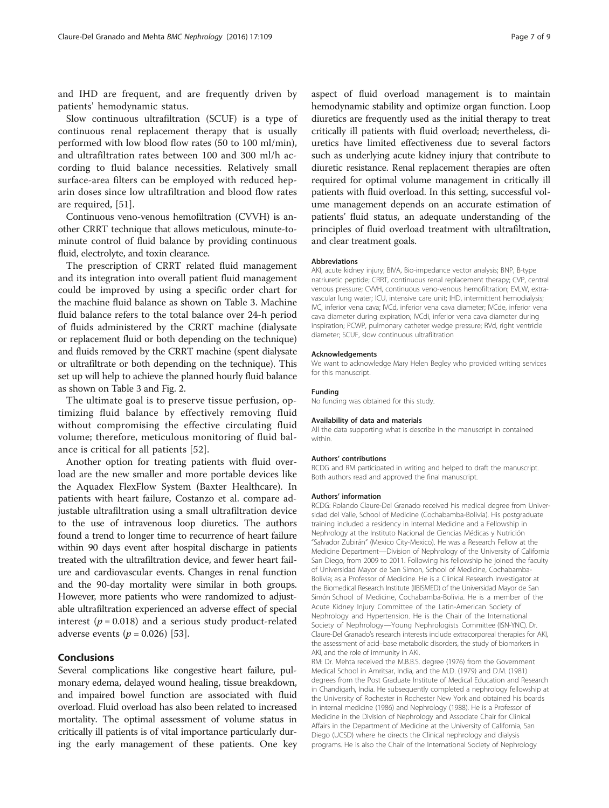and IHD are frequent, and are frequently driven by patients' hemodynamic status.

Slow continuous ultrafiltration (SCUF) is a type of continuous renal replacement therapy that is usually performed with low blood flow rates (50 to 100 ml/min), and ultrafiltration rates between 100 and 300 ml/h according to fluid balance necessities. Relatively small surface-area filters can be employed with reduced heparin doses since low ultrafiltration and blood flow rates are required, [\[51](#page-8-0)].

Continuous veno-venous hemofiltration (CVVH) is another CRRT technique that allows meticulous, minute-tominute control of fluid balance by providing continuous fluid, electrolyte, and toxin clearance.

The prescription of CRRT related fluid management and its integration into overall patient fluid management could be improved by using a specific order chart for the machine fluid balance as shown on Table [3.](#page-5-0) Machine fluid balance refers to the total balance over 24-h period of fluids administered by the CRRT machine (dialysate or replacement fluid or both depending on the technique) and fluids removed by the CRRT machine (spent dialysate or ultrafiltrate or both depending on the technique). This set up will help to achieve the planned hourly fluid balance as shown on Table [3](#page-5-0) and Fig. [2.](#page-5-0)

The ultimate goal is to preserve tissue perfusion, optimizing fluid balance by effectively removing fluid without compromising the effective circulating fluid volume; therefore, meticulous monitoring of fluid balance is critical for all patients [[52](#page-8-0)].

Another option for treating patients with fluid overload are the new smaller and more portable devices like the Aquadex FlexFlow System (Baxter Healthcare). In patients with heart failure, Costanzo et al. compare adjustable ultrafiltration using a small ultrafiltration device to the use of intravenous loop diuretics. The authors found a trend to longer time to recurrence of heart failure within 90 days event after hospital discharge in patients treated with the ultrafiltration device, and fewer heart failure and cardiovascular events. Changes in renal function and the 90-day mortality were similar in both groups. However, more patients who were randomized to adjustable ultrafiltration experienced an adverse effect of special interest ( $p = 0.018$ ) and a serious study product-related adverse events ( $p = 0.026$ ) [[53](#page-8-0)].

# Conclusions

Several complications like congestive heart failure, pulmonary edema, delayed wound healing, tissue breakdown, and impaired bowel function are associated with fluid overload. Fluid overload has also been related to increased mortality. The optimal assessment of volume status in critically ill patients is of vital importance particularly during the early management of these patients. One key

aspect of fluid overload management is to maintain hemodynamic stability and optimize organ function. Loop diuretics are frequently used as the initial therapy to treat critically ill patients with fluid overload; nevertheless, diuretics have limited effectiveness due to several factors such as underlying acute kidney injury that contribute to diuretic resistance. Renal replacement therapies are often required for optimal volume management in critically ill patients with fluid overload. In this setting, successful volume management depends on an accurate estimation of patients' fluid status, an adequate understanding of the principles of fluid overload treatment with ultrafiltration, and clear treatment goals.

#### Abbreviations

AKI, acute kidney injury; BIVA, Bio-impedance vector analysis; BNP, B-type natriuretic peptide; CRRT, continuous renal replacement therapy; CVP, central venous pressure; CVVH, continuous veno-venous hemofiltration; EVLW, extravascular lung water; ICU, intensive care unit; IHD, intermittent hemodialysis; IVC, inferior vena cava; IVCd, inferior vena cava diameter; IVCde, inferior vena cava diameter during expiration; IVCdi, inferior vena cava diameter during inspiration; PCWP, pulmonary catheter wedge pressure; RVd, right ventricle diameter; SCUF, slow continuous ultrafiltration

#### Acknowledgements

We want to acknowledge Mary Helen Begley who provided writing services for this manuscript.

#### Funding

No funding was obtained for this study.

#### Availability of data and materials

All the data supporting what is describe in the manuscript in contained within.

#### Authors' contributions

RCDG and RM participated in writing and helped to draft the manuscript. Both authors read and approved the final manuscript.

#### Authors' information

RCDG: Rolando Claure-Del Granado received his medical degree from Universidad del Valle, School of Medicine (Cochabamba-Bolivia). His postgraduate training included a residency in Internal Medicine and a Fellowship in Nephrology at the Instituto Nacional de Ciencias Médicas y Nutrición "Salvador Zubirán" (Mexico City-Mexico). He was a Research Fellow at the Medicine Department—Division of Nephrology of the University of California San Diego, from 2009 to 2011. Following his fellowship he joined the faculty of Universidad Mayor de San Simon, School of Medicine, Cochabamba-Bolivia; as a Professor of Medicine. He is a Clinical Research Investigator at the Biomedical Research Institute (IIBISMED) of the Universidad Mayor de San Simón School of Medicine, Cochabamba-Bolivia. He is a member of the Acute Kidney Injury Committee of the Latin-American Society of Nephrology and Hypertension. He is the Chair of the International Society of Nephrology—Young Nephrologists Committee (ISN-YNC). Dr. Claure-Del Granado's research interests include extracorporeal therapies for AKI, the assessment of acid–base metabolic disorders, the study of biomarkers in AKI, and the role of immunity in AKI.

RM: Dr. Mehta received the M.B.B.S. degree (1976) from the Government Medical School in Amritsar, India, and the M.D. (1979) and D.M. (1981) degrees from the Post Graduate Institute of Medical Education and Research in Chandigarh, India. He subsequently completed a nephrology fellowship at the University of Rochester in Rochester New York and obtained his boards in internal medicine (1986) and Nephrology (1988). He is a Professor of Medicine in the Division of Nephrology and Associate Chair for Clinical Affairs in the Department of Medicine at the University of California, San Diego (UCSD) where he directs the Clinical nephrology and dialysis programs. He is also the Chair of the International Society of Nephrology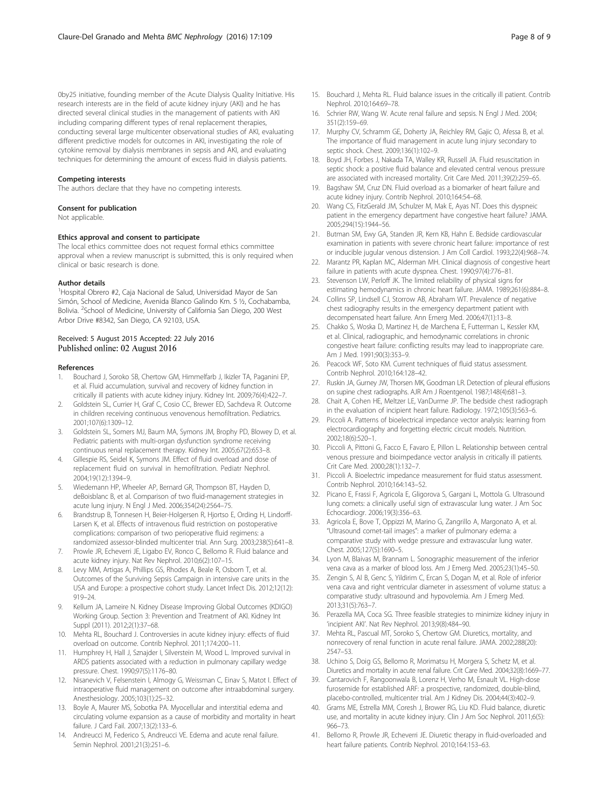<span id="page-7-0"></span>0by25 initiative, founding member of the Acute Dialysis Quality Initiative. His research interests are in the field of acute kidney injury (AKI) and he has directed several clinical studies in the management of patients with AKI including comparing different types of renal replacement therapies, conducting several large multicenter observational studies of AKI, evaluating different predictive models for outcomes in AKI, investigating the role of cytokine removal by dialysis membranes in sepsis and AKI, and evaluating techniques for determining the amount of excess fluid in dialysis patients.

#### Competing interests

The authors declare that they have no competing interests.

#### Consent for publication

Not applicable.

#### Ethics approval and consent to participate

The local ethics committee does not request formal ethics committee approval when a review manuscript is submitted, this is only required when clinical or basic research is done.

### Author details

<sup>1</sup>Hospital Obrero #2, Caja Nacional de Salud, Universidad Mayor de San Simón, School of Medicine, Avenida Blanco Galindo Km. 5 ½, Cochabamba, Bolivia. <sup>2</sup>School of Medicine, University of California San Diego, 200 West Arbor Drive #8342, San Diego, CA 92103, USA.

#### Received: 5 August 2015 Accepted: 22 July 2016 Published online: 02 August 2016

#### References

- Bouchard J, Soroko SB, Chertow GM, Himmelfarb J, Ikizler TA, Paganini EP, et al. Fluid accumulation, survival and recovery of kidney function in critically ill patients with acute kidney injury. Kidney Int. 2009;76(4):422–7.
- 2. Goldstein SL, Currier H, Graf C, Cosio CC, Brewer ED, Sachdeva R. Outcome in children receiving continuous venovenous hemofiltration. Pediatrics. 2001;107(6):1309–12.
- 3. Goldstein SL, Somers MJ, Baum MA, Symons JM, Brophy PD, Blowey D, et al. Pediatric patients with multi-organ dysfunction syndrome receiving continuous renal replacement therapy. Kidney Int. 2005;67(2):653–8.
- 4. Gillespie RS, Seidel K, Symons JM. Effect of fluid overload and dose of replacement fluid on survival in hemofiltration. Pediatr Nephrol. 2004;19(12):1394–9.
- 5. Wiedemann HP, Wheeler AP, Bernard GR, Thompson BT, Hayden D, deBoisblanc B, et al. Comparison of two fluid-management strategies in acute lung injury. N Engl J Med. 2006;354(24):2564–75.
- 6. Brandstrup B, Tonnesen H, Beier-Holgersen R, Hjortso E, Ording H, Lindorff-Larsen K, et al. Effects of intravenous fluid restriction on postoperative complications: comparison of two perioperative fluid regimens: a randomized assessor-blinded multicenter trial. Ann Surg. 2003;238(5):641–8.
- 7. Prowle JR, Echeverri JE, Ligabo EV, Ronco C, Bellomo R. Fluid balance and acute kidney injury. Nat Rev Nephrol. 2010;6(2):107–15.
- 8. Levy MM, Artigas A, Phillips GS, Rhodes A, Beale R, Osborn T, et al. Outcomes of the Surviving Sepsis Campaign in intensive care units in the USA and Europe: a prospective cohort study. Lancet Infect Dis. 2012;12(12): 919–24.
- 9. Kellum JA, Lameire N. Kidney Disease Improving Global Outcomes (KDIGO) Working Group. Section 3: Prevention and Treatment of AKI. Kidney Int Suppl (2011). 2012;2(1):37–68.
- 10. Mehta RL, Bouchard J. Controversies in acute kidney injury: effects of fluid overload on outcome. Contrib Nephrol. 2011;174:200–11.
- 11. Humphrey H, Hall J, Sznajder I, Silverstein M, Wood L. Improved survival in ARDS patients associated with a reduction in pulmonary capillary wedge pressure. Chest. 1990;97(5):1176–80.
- 12. Nisanevich V, Felsenstein I, Almogy G, Weissman C, Einav S, Matot I. Effect of intraoperative fluid management on outcome after intraabdominal surgery. Anesthesiology. 2005;103(1):25–32.
- 13. Boyle A, Maurer MS, Sobotka PA. Myocellular and interstitial edema and circulating volume expansion as a cause of morbidity and mortality in heart failure. J Card Fail. 2007;13(2):133–6.
- 14. Andreucci M, Federico S, Andreucci VE. Edema and acute renal failure. Semin Nephrol. 2001;21(3):251–6.
- 15. Bouchard J, Mehta RL. Fluid balance issues in the critically ill patient. Contrib Nephrol. 2010;164:69–78.
- 16. Schrier RW, Wang W. Acute renal failure and sepsis. N Engl J Med. 2004; 351(2):159–69.
- 17. Murphy CV, Schramm GE, Doherty JA, Reichley RM, Gajic O, Afessa B, et al. The importance of fluid management in acute lung injury secondary to septic shock. Chest. 2009;136(1):102–9.
- 18. Boyd JH, Forbes J, Nakada TA, Walley KR, Russell JA. Fluid resuscitation in septic shock: a positive fluid balance and elevated central venous pressure are associated with increased mortality. Crit Care Med. 2011;39(2):259–65.
- 19. Bagshaw SM, Cruz DN. Fluid overload as a biomarker of heart failure and acute kidney injury. Contrib Nephrol. 2010;164:54–68.
- 20. Wang CS, FitzGerald JM, Schulzer M, Mak E, Ayas NT. Does this dyspneic patient in the emergency department have congestive heart failure? JAMA. 2005;294(15):1944–56.
- 21. Butman SM, Ewy GA, Standen JR, Kern KB, Hahn E. Bedside cardiovascular examination in patients with severe chronic heart failure: importance of rest or inducible jugular venous distension. J Am Coll Cardiol. 1993;22(4):968–74.
- 22. Marantz PR, Kaplan MC, Alderman MH, Clinical diagnosis of congestive heart failure in patients with acute dyspnea. Chest. 1990;97(4):776–81.
- 23. Stevenson LW, Perloff JK. The limited reliability of physical signs for estimating hemodynamics in chronic heart failure. JAMA. 1989;261(6):884–8.
- 24. Collins SP, Lindsell CJ, Storrow AB, Abraham WT. Prevalence of negative chest radiography results in the emergency department patient with decompensated heart failure. Ann Emerg Med. 2006;47(1):13–8.
- 25. Chakko S, Woska D, Martinez H, de Marchena E, Futterman L, Kessler KM, et al. Clinical, radiographic, and hemodynamic correlations in chronic congestive heart failure: conflicting results may lead to inappropriate care. Am J Med. 1991;90(3):353–9.
- 26. Peacock WF, Soto KM. Current techniques of fluid status assessment. Contrib Nephrol. 2010;164:128–42.
- 27. Ruskin JA, Gurney JW, Thorsen MK, Goodman LR. Detection of pleural effusions on supine chest radiographs. AJR Am J Roentgenol. 1987;148(4):681–3.
- 28. Chait A, Cohen HE, Meltzer LE, VanDurme JP. The bedside chest radiograph in the evaluation of incipient heart failure. Radiology. 1972;105(3):563–6.
- 29. Piccoli A. Patterns of bioelectrical impedance vector analysis: learning from electrocardiography and forgetting electric circuit models. Nutrition. 2002;18(6):520–1.
- 30. Piccoli A, Pittoni G, Facco E, Favaro E, Pillon L. Relationship between central venous pressure and bioimpedance vector analysis in critically ill patients. Crit Care Med. 2000;28(1):132–7.
- 31. Piccoli A. Bioelectric impedance measurement for fluid status assessment. Contrib Nephrol. 2010;164:143–52.
- 32. Picano E, Frassi F, Agricola E, Gligorova S, Gargani L, Mottola G. Ultrasound lung comets: a clinically useful sign of extravascular lung water. J Am Soc Echocardiogr. 2006;19(3):356–63.
- 33. Agricola E, Bove T, Oppizzi M, Marino G, Zangrillo A, Margonato A, et al. "Ultrasound comet-tail images": a marker of pulmonary edema: a comparative study with wedge pressure and extravascular lung water. Chest. 2005;127(5):1690–5.
- 34. Lyon M, Blaivas M, Brannam L. Sonographic measurement of the inferior vena cava as a marker of blood loss. Am J Emerg Med. 2005;23(1):45–50.
- 35. Zengin S, Al B, Genc S, Yildirim C, Ercan S, Dogan M, et al. Role of inferior vena cava and right ventricular diameter in assessment of volume status: a comparative study: ultrasound and hypovolemia. Am J Emerg Med. 2013;31(5):763–7.
- 36. Perazella MA, Coca SG. Three feasible strategies to minimize kidney injury in 'incipient AKI'. Nat Rev Nephrol. 2013;9(8):484–90.
- 37. Mehta RL, Pascual MT, Soroko S, Chertow GM. Diuretics, mortality, and nonrecovery of renal function in acute renal failure. JAMA. 2002;288(20): 2547–53.
- 38. Uchino S, Doig GS, Bellomo R, Morimatsu H, Morgera S, Schetz M, et al. Diuretics and mortality in acute renal failure. Crit Care Med. 2004;32(8):1669–77.
- 39. Cantarovich F, Rangoonwala B, Lorenz H, Verho M, Esnault VL. High-dose furosemide for established ARF: a prospective, randomized, double-blind, placebo-controlled, multicenter trial. Am J Kidney Dis. 2004;44(3):402–9.
- 40. Grams ME, Estrella MM, Coresh J, Brower RG, Liu KD. Fluid balance, diuretic use, and mortality in acute kidney injury. Clin J Am Soc Nephrol. 2011;6(5): 966–73.
- 41. Bellomo R, Prowle JR, Echeverri JE. Diuretic therapy in fluid-overloaded and heart failure patients. Contrib Nephrol. 2010;164:153–63.